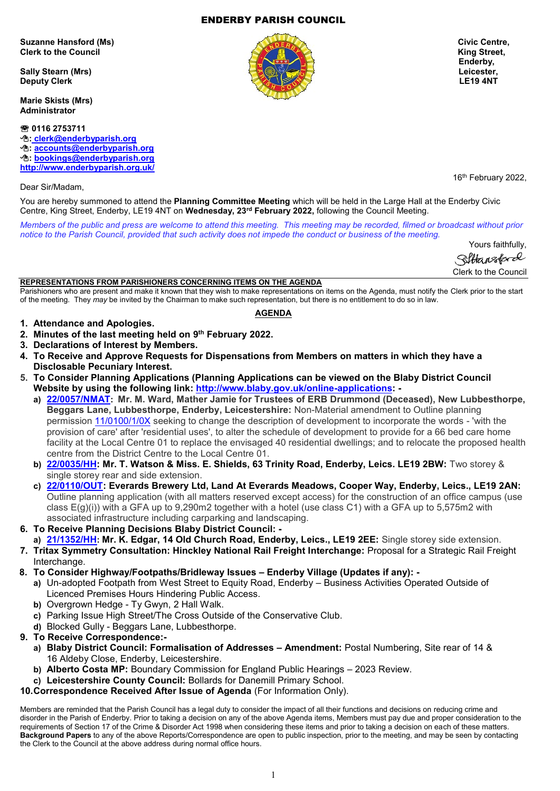## ENDERBY PARISH COUNCIL

Suzanne Hansford (Ms) **Civic Centre, and Civic Centre, and Civic Centre, Civic Centre, Civic Centre, Civic Centre, Civic Centre, Civic Centre, Civic Centre, Civic Centre, Civic Centre, Civic Centre, Civic Centre, Civic Cen Clerk to the Council Clerk to the Council Clerk of the Council Clerk of the Council Clerk of the Council Clerk of the Council Clerk of the Council Clerk of the Council Clerk of the Council Clerk of the Council Clerk of th** 

**Sally Stearn (Mrs) Leicester, Deputy Clerk LE19 4NT** 

**Marie Skists (Mrs) Administrator**

 **0116 2753711 : [clerk@enderbyparish.org](mailto:%20clerk@enderbyparish.org) : [accounts@enderbyparish.org](mailto:accounts@enderbyparish.org) : [bookings@enderbyparish.org](mailto:bookings@enderbyparish.org) <http://www.enderbyparish.org.uk/>**

Dear Sir/Madam,

You are hereby summoned to attend the **Planning Committee Meeting** which will be held in the Large Hall at the Enderby Civic Centre, King Street, Enderby, LE19 4NT on **Wednesday, 23rd February 2022,** following the Council Meeting.

*Members of the public and press are welcome to attend this meeting. This meeting may be recorded, filmed or broadcast without prior notice to the Parish Council, provided that such activity does not impede the conduct or business of the meeting.*

> Yours faithfully, Hansford Clerk to the Council

16<sup>th</sup> February 2022,

### **REPRESENTATIONS FROM PARISHIONERS CONCERNING ITEMS ON THE AGENDA**

Parishioners who are present and make it known that they wish to make representations on items on the Agenda, must notify the Clerk prior to the start of the meeting. They *may* be invited by the Chairman to make such representation, but there is no entitlement to do so in law. **AGENDA**

- **1. Attendance and Apologies.**
- **2. Minutes of the last meeting held on 9 th February 2022.**
- **3. Declarations of Interest by Members.**
- **4. To Receive and Approve Requests for Dispensations from Members on matters in which they have a Disclosable Pecuniary Interest.**
- **5. To Consider Planning Applications (Planning Applications can be viewed on the Blaby District Council Website by using the following link: [http://www.blaby.gov.uk/online-applications:](http://www.blaby.gov.uk/online-applications)** 
	- **a) [22/0057/NMAT](https://pa.blaby.gov.uk/online-applications/applicationDetails.do?activeTab=documents&keyVal=R5Y90DCYJ5S00): Mr. M. Ward, Mather Jamie for Trustees of ERB Drummond (Deceased), New Lubbesthorpe, Beggars Lane, Lubbesthorpe, Enderby, Leicestershire:** Non-Material amendment to Outline planning permission [11/0100/1/0X](https://pa.blaby.gov.uk/online-applications/applicationDetails.do?activeTab=documents&keyVal=R5Y90DCYJ5S00) seeking to change the description of development to incorporate the words - 'with the provision of care' after 'residential uses', to alter the schedule of development to provide for a 66 bed care home facility at the Local Centre 01 to replace the envisaged 40 residential dwellings; and to relocate the proposed health centre from the District Centre to the Local Centre 01.
	- **b) [22/0035/HH:](https://pa.blaby.gov.uk/online-applications/applicationDetails.do?activeTab=documents&keyVal=R5LS2PCY05Y00) Mr. T. Watson & Miss. E. Shields, 63 Trinity Road, Enderby, Leics. LE19 2BW:** Two storey & single storey rear and side extension.
	- **c) [22/0110/OUT:](https://pa.blaby.gov.uk/online-applications/applicationDetails.do?activeTab=documents&keyVal=R6XFRECYJCJ00) Everards Brewery Ltd, Land At Everards Meadows, Cooper Way, Enderby, Leics., LE19 2AN:** Outline planning application (with all matters reserved except access) for the construction of an office campus (use class E(g)(i)) with a GFA up to 9,290m2 together with a hotel (use class C1) with a GFA up to 5,575m2 with associated infrastructure including carparking and landscaping.
- **6. To Receive Planning Decisions Blaby District Council: -**
- **a) [21/1352/HH](https://pa.blaby.gov.uk/online-applications/applicationDetails.do?activeTab=documents&keyVal=R2CXHRCYIIO00): Mr. K. Edgar, 14 Old Church Road, Enderby, Leics., LE19 2EE:** Single storey side extension.
- **7. Tritax Symmetry Consultation: Hinckley National Rail Freight Interchange:** Proposal for a Strategic Rail Freight Interchange.
- **8. To Consider Highway/Footpaths/Bridleway Issues – Enderby Village (Updates if any):** 
	- **a)** Un-adopted Footpath from West Street to Equity Road, Enderby Business Activities Operated Outside of Licenced Premises Hours Hindering Public Access.
		- **b)** Overgrown Hedge Ty Gwyn, 2 Hall Walk.
		- **c)** Parking Issue High Street/The Cross Outside of the Conservative Club.
	- **d)** Blocked Gully Beggars Lane, Lubbesthorpe.
- **9. To Receive Correspondence:**
	- **a) Blaby District Council: Formalisation of Addresses – Amendment:** Postal Numbering, Site rear of 14 & 16 Aldeby Close, Enderby, Leicestershire.
	- **b) Alberto Costa MP:** Boundary Commission for England Public Hearings 2023 Review.
	- **c) Leicestershire County Council:** Bollards for Danemill Primary School.
- **10.Correspondence Received After Issue of Agenda** (For Information Only).

Members are reminded that the Parish Council has a legal duty to consider the impact of all their functions and decisions on reducing crime and disorder in the Parish of Enderby. Prior to taking a decision on any of the above Agenda items, Members must pay due and proper consideration to the requirements of Section 17 of the Crime & Disorder Act 1998 when considering these items and prior to taking a decision on each of these matters. **Background Papers** to any of the above Reports/Correspondence are open to public inspection, prior to the meeting, and may be seen by contacting the Clerk to the Council at the above address during normal office hours.



**Enderby, The Enderby, The Enderby, The Enderby,**